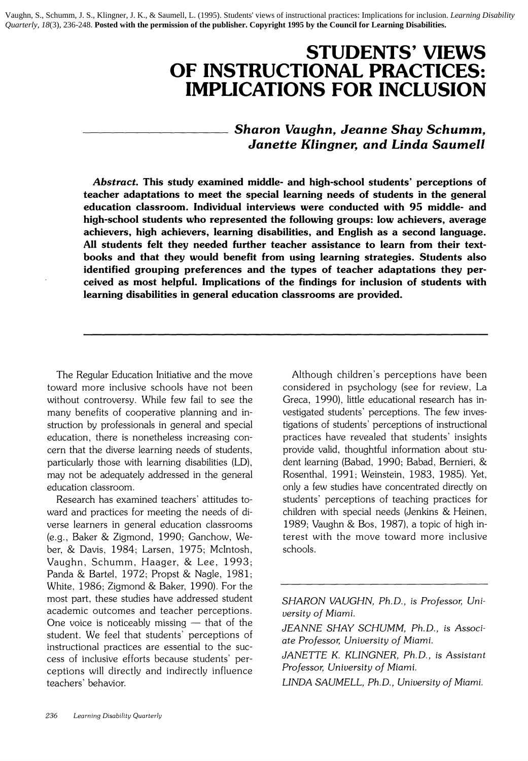# **STUDENTS' VIEWS OF INSTRUCTIONAL PRACTICES: IMPLICATIONS FOR INCLUSION**

*Sharon Vaughn, Jeanne Shay Schumm, Janette Klingner, and Linda Saumell* 

**Abstract.** This study examined middle- and high-school students' perceptions of teacher adaptations to meet the special learning needs of students in the general education classroom. Individual interviews were conducted with 95 middle- and high-school students who represented the following groups: low achievers, average achievers, high achievers, learning disabilities, and English as a second language. All students felt they needed further teacher assistance to learn from their textbooks and that they would benefit from using learning strategies. Students also identified grouping preferences and the types of teacher adaptations they perceived as most helpful. Implications of the findings for inclusion of students with learning disabilities in general education classrooms are provided.

toward more inclusive schools have not been considered in psychology (see for review. La without controversy. While few fail to see the Greca, 1990), little educational research has inmany benefits of cooperative planning and in- vestigated students' perceptions. The few invesstruction by professionals in general and special tigations of students' perceptions of instructional education, there is nonetheless increasing con- practices have revealed that students' insights cern that the diverse learning needs of students. provide valid, thoughtful information about stuparticularly those with learning disabilities (LD). dent learning (Babad. 1990: Babad. Bernieri. & may not be adequately addressed in the general Rosenthal, 1991; Weinstein, 1983, 1985). Yet, education classroom. only a few studies have concentrated directly on

ward and practices for meeting the needs of di-<br>
children with special needs (Jenkins & Heinen, verse learners in general education classrooms 1989; Vaughn & Bos. 1987). a topic of high in- (e.g.. Baker & Zigmond. 1990; Ganchow. We- terest with the move toward more inclusive ber, & Davis, 1984; Larsen, 1975; McIntosh, schools. Vaughn. Schumm. Haager. & Lee. 1993; Panda & Bartel. 1972; Propst & Nagle, 1981; White. 1986: Zigmond & Baker. 1990). For the most part, these studies have addressed student *SHARON VAUGHN, Ph.D.. is Professor, Uni*academic outcomes and teacher perceptions. *versity of Miami.*  most part, these studies have addressed student<br>academic outcomes and teacher perceptions.<br>One voice is noticeably missing — that of the<br>student. We feel that students' perceptions of<br>instructional practices are essential cess of inclusive efforts because students' per- *JANETTE K. KLINGNER, Ph.D., is Assistant*  ceptions will directly and indirectly influence teachers' behavior. *LlNDA SAUMELL, Ph.D., University* of *Miami.* 

The Regular Education Initiative and the move Although children's perceptions have been Research has examined teachers' attitudes to- students' perceptions of teaching practices for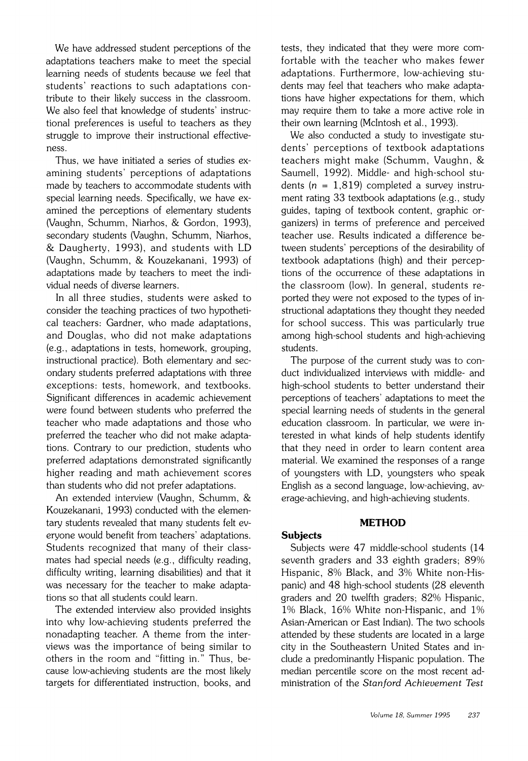We have addressed student perceptions of the adaptations teachers make to meet the special learning needs of students because we feel that students' reactions to such adaptations contribute to their likely success in the classroom. We also feel that knowledge of students' instructional preferences is useful to teachers as they struggle to improve their instructional effectiveness.

Thus, we have initiated a series of studies examining students' perceptions of adaptations made by teachers to accommodate students with special learning needs. Specifically. we have examined the perceptions of elementary students (Vaughn. Schumm. Niarhos. & Gordon. 1993). secondary students (Vaughn. Schumm. Niarhos. & Daugherty. 1993). and students with LD (Vaughn. Schumm. & Kouzekanani. 1993) of adaptations made by teachers to meet the individual needs of diverse learners.

In all three studies, students were asked to consider the teaching practices of two hypothetical teachers: Gardner, who made adaptations. and Douglas, who did not make adaptations (e.g.. adaptations in tests, homework, grouping. instructional practice). Both elementary and secondary students preferred adaptations with three exceptions: tests, homework, and textbooks. Significant differences in academic achievement were found between students who preferred the teacher who made adaptations and those who preferred the teacher who did not make adaptations. Contrary to our prediction, students who preferred adaptations demonstrated significantly higher reading and math achievement scores than students who did not prefer adaptations.

An extended interview (Vaughn. Schumm. & Kouzekanani. 1993) conducted with the elementary students revealed that many students felt everyone would benefit from teachers' adaptations. Students recognized that many of their classmates had special needs (e.g.. difficulty reading. difficulty writing, learning disabilities) and that it was necessary for the teacher to make adaptations so that all students could learn.

The extended interview also provided insights into why low-achieving students preferred the nonadapting teacher. A theme from the interviews was the importance of being similar to others in the room and "fitting in." Thus, because low-achieving students are the most likely targets for differentiated instruction, books, and

tests, they indicated that they were more comfortable with the teacher who makes fewer adaptations. Furthermore, low-achieving students may feel that teachers who make adaptations have higher expectations for them, which may require them to take a more active role in their own learning (McIntosh et al.. 1993).

We also conducted a study to investigate students' perceptions of textbook adaptations teachers might make (Schumm. Vaughn. & Saumell. 1992). Middle- and high-school students ( $n = 1,819$ ) completed a survey instrument rating 33 textbook adaptations (e.g.. study guides, taping of textbook content, graphic organizers) in terms of preference and perceived teacher use. Results indicated a difference between students' perceptions of the desirability of textbook adaptations (high) and their perceptions of the occurrence of these adaptations in the classroom (low). In general, students reported they were not exposed to the types of instructional adaptations they thought they needed for school success. This was particularly true among high-school students and high-achieving students.

The purpose of the current study was to conduct individualized interviews with middle- and high-school students to better understand their perceptions of teachers' adaptations to meet the special learning needs of students in the general education classroom. In particular, we were interested in what kinds of help students identify that they need in order to learn content area material. We examined the responses of a range of youngsters with LD, youngsters who speak English as a second language, low-achieving, average-achieving, and high-achieving students.

# **Subjects**

## Subjects were 47 middle-school students (14 seventh graders and 33 eighth graders; 89% Hispanic. 8% Black. and 3% White non-Hispanic) and 48 high-school students (28 eleventh graders and 20 twelfth graders; 82% Hispanic. 1% Black. 16% White non-Hispanic. and 1% Asian-American or East Indian). The two schools attended by these students are located in a large city in the Southeastern United States and include a predominantly Hispanic population. The median percentile score on the most recent administration of the *Stanford Achievement Test*

**METHOD**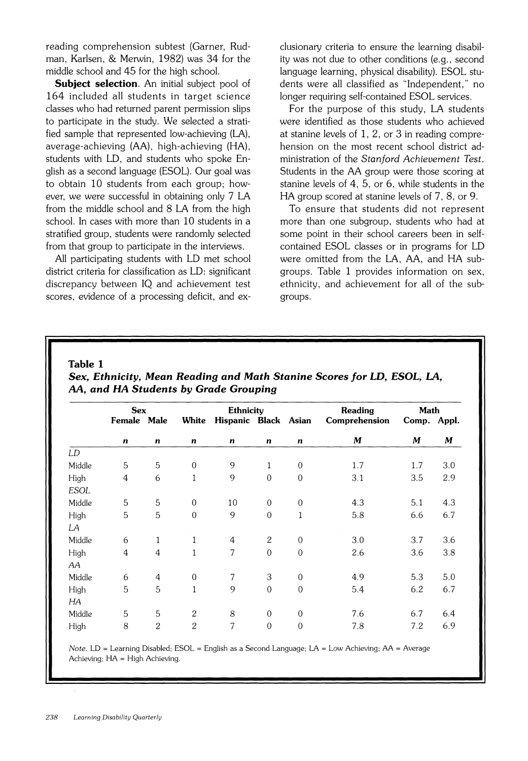reading comprehension subtest (Garner. Rud- clusionary criteria to ensure the learning disabilman, Karlsen, & Merwin, 1982) was 34 for the ity was not due to other conditions (e.g., second middle school and 45 for the high school. language learning, physical disability). ESOL stu-

164 included all students in target science longer requiring self-contained ESOL services. classes who had returned parent permission slips For the purpose of this study. LA students to participate in the study. We selected a strati- were identified as those students who achieved fied sample that represented low-achieving  $(LA)$ , at stanine levels of 1, 2, or 3 in reading compreaverage-achieving (AA), high-achieving (HA). hension on the most recent school district adstudents with LD, and students who spoke En- ministration of the Stanford *Achievement Test.*  glish as a second language (ESOL). Our goal was Students in the AA group were those scoring at to obtain 10 students from each group: how- stanine levels of 4. 5.or 6. while students in the ever, we were successful in obtaining only 7 LA HA group scored at stanine levels of 7. 8. or 9. from the middle school and 8 LA from the high To ensure that students did not represent school. In cases with more than 10 students in a more than one subgroup, students who had at stratified group, students were randomly selected some point in their school careers been in self-

district criteria for classification as LD: significant groups. Table 1 provides information on sex. discrepancy between IQ and achievement test ethnicity, and achievement for all of the subscores, evidence of a processing deficit, and ex- groups.

**Subject selection**. An initial subject pool of dents were all classified as "Independent," no

from that group to participate in the interviews. contained ESOL classes or in programs for LD All participating students with LD met school were omitted from the LA. AA, and HA sub-

### **Table 1**

|             | <b>Sex</b>     |                  | Ethnicity        |                      |                |                  | <b>Reading</b> | Math        |     |
|-------------|----------------|------------------|------------------|----------------------|----------------|------------------|----------------|-------------|-----|
|             | Female Male    |                  | White            | Hispanic Black Asian |                |                  | Comprehension  | Comp. Appl. |     |
|             | n              | $\boldsymbol{n}$ | n                | n                    | n              | $\boldsymbol{n}$ | M              | M           | М   |
| LD          |                |                  |                  |                      |                |                  |                |             |     |
| Middle      | 5              | 5                | $\mathbf{0}$     | 9                    | 1              | $\mathbf{0}$     | 1.7            | 1.7         | 3.0 |
| High        | $\overline{4}$ | 6                | $\mathbf 1$      | 9                    | $\mathbf{0}$   | $\mathbf{0}$     | 3.1            | 3.5         | 2.9 |
| <b>ESOL</b> |                |                  |                  |                      |                |                  |                |             |     |
| Middle      | 5              | 5                | $\mathbf{0}$     | 10                   | $\mathbf{0}$   | $\mathbf{0}$     | 4.3            | 5.1         | 4.3 |
| High        | 5              | 5                | $\boldsymbol{0}$ | 9                    | $\overline{0}$ | $\mathbf{1}$     | 5.8            | 6.6         | 6.7 |
| LA          |                |                  |                  |                      |                |                  |                |             |     |
| Middle      | 6              | $\mathbf{1}$     | 1                | 4                    | 2              | $\mathbf{0}$     | $3.0\,$        | 3.7         | 3.6 |
| High        | $\overline{4}$ | $\overline{4}$   | 1                | 7                    | $\mathbf{0}$   | $\mathbf{0}$     | 2.6            | 3.6         | 3.8 |
| AA          |                |                  |                  |                      |                |                  |                |             |     |
| Middle      | 6              | $\overline{4}$   | $\mathbf{0}$     | 7                    | 3              | $\mathbf{0}$     | 4.9            | 5.3         | 5.0 |
| High        | 5              | 5                | $\mathbf{1}$     | 9                    | $\mathbf{0}$   | $\overline{0}$   | 5.4            | 6.2         | 6.7 |
| HА          |                |                  |                  |                      |                |                  |                |             |     |
| Middle      | 5              | 5                | $\mathbf{2}$     | 8                    | $\Omega$       | $\mathbf{0}$     | 7.6            | 6.7         | 6.4 |
| High        | 8              | $\overline{2}$   | $\overline{2}$   | 7                    | $\overline{0}$ | $\overline{0}$   | 7.8            | 7.2         | 6.9 |

**Sex, Ethnicity, Mean Reading and Math Stanine Scores for LD, ESOL, LA, AA, and HA Students by Grade Grouping** 

Note. LD = Learning Disabled: ESOL = English as a Second Language: LA = Low Achieving: AA = Average Achieving: HA = High Achieving.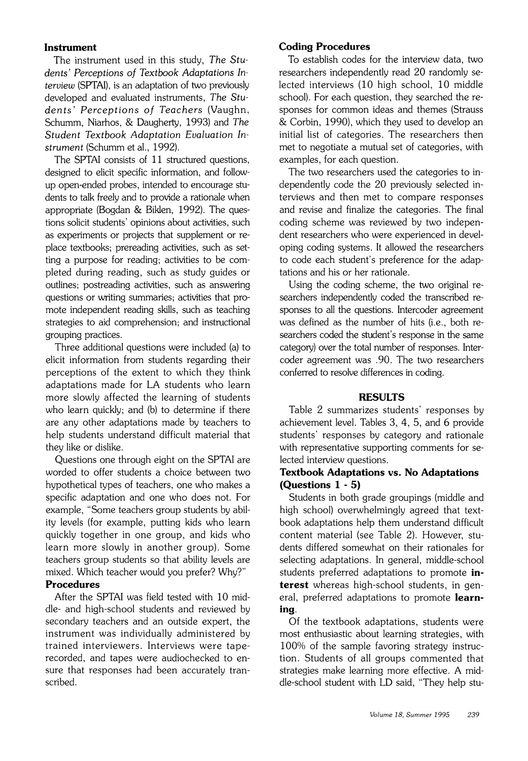# **Instrument**

The instrument used in this study, The Students' Perceptions of Textbook Adaptations lnterview (SPTAI), is an adaptation of two previously developed and evaluated instruments, The Students' Perceptions of Teachers (Vaughn, Schumm, Niarhos, & Daugherty, 1993) and The Student Textbook Adaptation Evaluation lnstrument (Schumm et al., 1992).

The SPTAI consists of 11 structured questions, designed to elicit specific information, and followup open-ended probes, intended to encourage students to talk freely and to provide a rationale when appropriate (Bogdan & Biklen, 1992). The questions solicit students' opinions about activities, such as experiments or projects that supplement or replace textbooks; prereading activities, such as setting a purpose for reading; activities to be completed during reading, such as study guides or outlines; postreading activities, such as answering questions or writing summaries; activities that promote independent reading skills, such as teaching strategies to aid comprehension; and instructional grouping practices.

Three additional questions were included (a) to elicit information from students regarding their perceptions of the extent to which they think adaptations made for LA students who learn more slowly affected the learning of students who learn quickly; and (b) to determine if there are any other adaptations made by teachers to help students understand difficult material that they like or dislike.

Questions one through eight on the SPTAI are worded to offer students a choice between two hypothetical types of teachers, one who makes a specific adaptation and one who does not. For example, "Some teachers group students by ability levels (for example, putting kids who learn quickly together in one group, and kids who learn more slowly in another group). Some teachers group students so that ability levels are mixed. Which teacher would you prefer? Why?" **Procedures** 

After the SPTAI was field tested with 10 middle- and high-school students and reviewed by secondary teachers and an outside expert, the instrument was individually administered by trained interviewers. Interviews were taperecorded, and tapes were audiochecked to ensure that responses had been accurately transcribed.

# **Coding Procedures**

To establish codes for the interview data, two researchers independently read 20 randomly selected interviews (10 high school, 10 middle school). For each question, they searched the responses for common ideas and themes (Strauss & Corbin, 1990), which they used to develop an initial list of categories. The researchers then met to negotiate a mutual set of categories, with examples, for each question.

The two researchers used the categories to independently code the 20 previously selected interviews and then met to compare responses and revise and finalize the categories. The final coding scheme was reviewed by two independent researchers who were experienced in developing coding systems. It allowed the researchers to code each student's preference for the adaptations and his or her rationale.

Using the coding scheme, the two original researchers independently coded the transcribed responses to all the questions. Intercoder agreement was defined as the number of hits (i.e., both researchers coded the student's response in the same category) over the total number of responses. Intercoder agreement was .90. The two researchers conferred to resolve differences in coding.

### **RESULTS**

Table 2 summarizes students' responses by achievement level. Tables 3, 4, 5, and 6 provide students' responses by category and rationale with representative supporting comments for selected interview questions.

### **Textbook Adaptations vs. No Adaptations (Questions 1** - **5)**

Students in both grade groupings (middle and high school) overwhelmingly agreed that textbook adaptations help them understand difficult content material (see Table 2). However, students differed somewhat on their rationales for selecting adaptations. In general, middle-school students preferred adaptations to promote **interest** whereas high-school students, in general, preferred adaptations to promote **learning.** 

Of the textbook adaptations, students were most enthusiastic about learning strategies, with 100% of the sample favoring strategy instruction. Students of all groups commented that strategies make learning more effective. A middle-school student with LD said. "They help stu-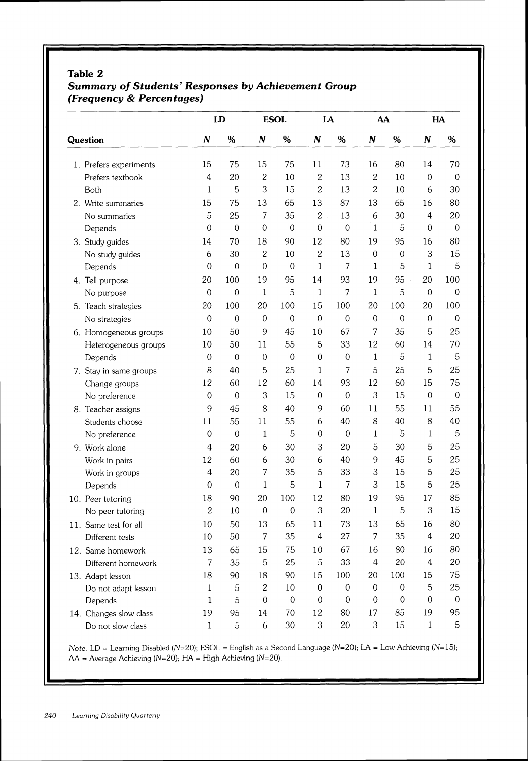# Table 2 **Summary of Students' Responses by Achievement Group (Frequency** & **Percentages)**

|                        | LD             |                | <b>ESOL</b>      |              | LA             |                | AA             |              | HA             |              |
|------------------------|----------------|----------------|------------------|--------------|----------------|----------------|----------------|--------------|----------------|--------------|
| Question               | N              | %              | N                | %            | N              | %              | N              | %            | N              | %            |
| 1. Prefers experiments | 15             | 75             | 15               | 75           | 11             | 73             | 16             | 80           | 14             | 70           |
| Prefers textbook       | 4              | 20             | 2                | 10           | $\mathbf{2}$   | 13             | $\overline{c}$ | 10           | $\mathbf 0$    | $\mathbf 0$  |
| Both                   | $\mathbf{1}$   | 5              | 3                | 15           | $\overline{c}$ | 13             | $\overline{c}$ | 10           | 6              | 30           |
| 2. Write summaries     | 15             | 75             | 13               | 65           | 13             | 87             | 13             | 65           | 16             | 80           |
| No summaries           | 5              | 25             | 7                | 35           | $\overline{c}$ | 13             | 6              | 30           | $\overline{4}$ | 20           |
| Depends                | 0              | $\mathbf{0}$   | 0                | $\mathbf{0}$ | $\mathbf{0}$   | $\mathbf{0}$   | $\mathbf{1}$   | 5            | $\mathbf 0$    | $\mathbf{0}$ |
| 3. Study guides        | 14             | 70             | 18               | 90           | 12             | 80             | 19             | 95           | 16             | 80           |
| No study guides        | 6              | 30             | $\overline{2}$   | 10           | $\overline{2}$ | 13             | $\mathbf 0$    | $\mathbf{0}$ | 3              | 15           |
| Depends                | 0              | $\mathbf 0$    | $\mathbf 0$      | $\mathbf 0$  | $\mathbf 1$    | 7              | $\mathbf{1}$   | 5            | $\mathbf 1$    | 5            |
| 4. Tell purpose        | 20             | 100            | 19               | 95           | 14             | 93             | 19             | 95           | 20             | 100          |
| No purpose             | $\mathbf 0$    | $\mathbf 0$    | $\mathbf{1}$     | 5            | $\mathbf{1}$   | 7              | $\mathbf{1}$   | 5            | $\mathbf{0}$   | $\mathbf{0}$ |
| 5. Teach strategies    | 20             | 100            | 20               | 100          | 15             | 100            | 20             | 100          | 20             | 100          |
| No strategies          | 0              | $\Omega$       | $\mathbf{0}$     | $\mathbf{0}$ | $\mathbf{0}$   | $\overline{0}$ | $\overline{0}$ | $\mathbf{0}$ | $\mathbf{0}$   | $\Omega$     |
| 6. Homogeneous groups  | 10             | 50             | 9                | 45           | 10             | 67             | 7              | 35           | 5              | 25           |
| Heterogeneous groups   | 10             | 50             | 11               | 55           | 5              | 33             | 12             | 60           | 14             | 70           |
| Depends                | $\mathbf{0}$   | $\mathbf{0}$   | 0                | $\mathbf{0}$ | $\overline{0}$ | $\mathbf 0$    | $\mathbf{1}$   | 5            | $\mathbf{1}$   | 5            |
| 7. Stay in same groups | 8              | 40             | 5                | 25           | 1              | 7              | 5              | 25           | 5              | 25           |
| Change groups          | 12             | 60             | 12               | 60           | 14             | 93             | 12             | 60           | 15             | 75           |
| No preference          | $\overline{0}$ | $\mathbf{0}$   | 3                | 15           | 0              | $\mathbf 0$    | 3              | 15           | $\mathbf{0}$   | $\mathbf{0}$ |
| 8. Teacher assigns     | 9              | 45             | 8                | 40           | 9              | 60             | 11             | 55           | 11             | 55           |
| Students choose        | 11             | 55             | 11               | 55           | 6              | 40             | 8              | 40           | 8              | 40           |
| No preference          | $\overline{0}$ | $\overline{0}$ | 1                | 5            | $\mathbf 0$    | $\overline{0}$ | $\mathbf{1}$   | 5            | $\mathbf{1}$   | 5            |
| 9. Work alone          | 4              | 20             | 6                | 30           | 3              | 20             | 5              | 30           | 5              | 25           |
| Work in pairs          | 12             | 60             | 6                | 30           | 6              | 40             | 9              | 45           | 5              | 25           |
| Work in groups         | 4              | 20             | 7                | 35           | 5              | 33             | 3              | 15           | 5              | 25           |
| Depends                | 0              | $\mathbf{0}$   | $\mathbf{1}$     | 5            | $\mathbf{1}$   | 7              | 3              | 15           | 5              | 25           |
| 10. Peer tutoring      | 18             | 90             | 20               | 100          | 12             | 80             | 19             | 95           | 17             | 85           |
| No peer tutoring       | $\overline{2}$ | 10             | $\mathbf 0$      | $\mathbf{0}$ | 3              | 20             | 1              | 5            | 3              | 15           |
| 11. Same test for all  | 10             | 50             | 13               | 65           | 11             | 73             | 13             | 65           | 16             | 80           |
| Different tests        | 10             | 50             | 7                | 35           | $\overline{4}$ | 27             | 7              | 35           | $\overline{4}$ | 20           |
| 12. Same homework      | 13             | 65             | 15               | 75           | 10             | 67             | 16             | 80           | 16             | 80           |
| Different homework     | 7              | 35             | 5                | 25           | 5              | 33             | 4              | 20           | $\overline{4}$ | 20           |
| 13. Adapt lesson       | 18             | 90             | 18               | 90           | 15             | 100            | 20             | 100          | 15             | 75           |
| Do not adapt lesson    | $\mathbf{1}$   | 5              | $\boldsymbol{2}$ | 10           | $\mathbf 0$    | $\mathbf 0$    | $\mathbf 0$    | $\mathbf{0}$ | 5              | 25           |
| Depends                | $\mathbf{1}$   | 5              | $\mathbf 0$      | $\mathbf{0}$ | $\mathbf{0}$   | 0              | $\mathbf 0$    | $\mathbf 0$  | $\mathbf 0$    | 0            |
| 14. Changes slow class | 19             | 95             | 14               | 70           | 12             | 80             | 17             | 85           | 19             | 95           |
| Do not slow class      | $\mathbf{1}$   | 5              | 6                | 30           | 3              | 20             | 3              | 15           | $\mathbf{1}$   | 5            |

*Note.* LD = Learning Disabled *(N=20)*; ESOL = English as a Second Language *(N=20)*; LA = Low Achieving *(N=15)*;<br>AA = Average Achieving *(N=20)*; HA = High Achieving *(N=20)*.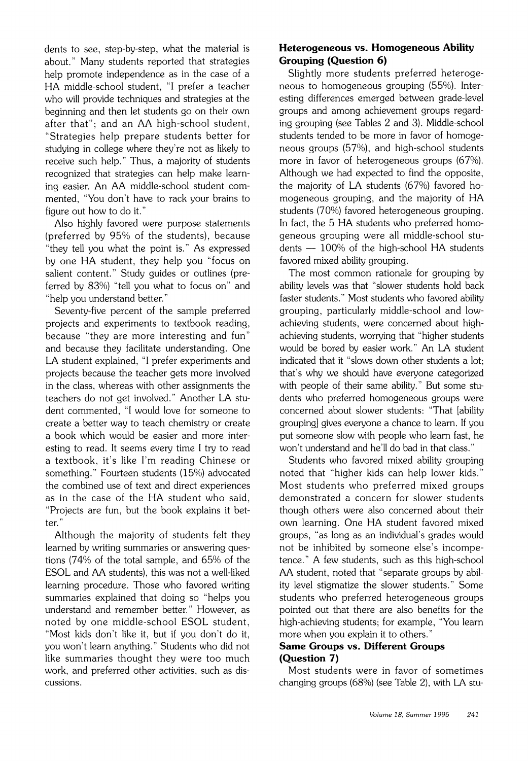dents to see, step-by-step, what the material is about." Many students reported that strategies help promote independence as in the case of a HA middle-school student. "I prefer a teacher who will provide techniques and strategies at the beginning and then let students go on their own after that"; and an AA high-school student. "Strategies help prepare students better for studying in college where they're not as likely to receive such help." Thus, a majority of students recognized that strategies can help make learning easier. An AA middle-school student commented. "You don't have to rack your brains to figure out how to do it."

Also highly favored were purpose statements (preferred by 95% of the students), because "they tell you what the point is." As expressed by one HA student, they help you "focus on salient content." Study guides or outlines (preferred by 83%) "tell you what to focus on" and "help you understand better."

Seventy-five percent of the sample preferred projects and experiments to textbook reading. because "they are more interesting and fun" and because they facilitate understanding. One LA student explained. "I prefer experiments and projects because the teacher gets more involved in the class. whereas with other assignments the teachers do not get involved." Another LA student commented. "I would love for someone to create a better way to teach chemistry or create a book which would be easier and more interesting to read. It seems every time I try to read a textbook, it's like I'm reading Chinese or something." Fourteen students (15%) advocated the combined use of text and direct experiences as in the case of the HA student who said, "Projects are fun, but the book explains it better."

Although the majority of students felt they learned by writing summaries or answering questions (74% of the total sample. and 65% of the ESOL and AA students), this was not a well-liked learning procedure. Those who favored writing summaries explained that doing so "helps you understand and remember better." However, as noted by one middle-school ESOL student. "Most kids don't like it. but if you don't do it, you won't learn anything." Students who did not like summaries thought they were too much work, and preferred other activities, such as discussions.

## **Heterogeneous vs. Homogeneous Ability Grouping (Question 6)**

Slightly more students preferred heterogeneous to homogeneous grouping (55%). Interesting differences emerged between grade-level groups and among achievement groups regarding grouping (see Tables 2 and 3). Middle-school students tended to be more in favor of homogeneous groups (57%). and high-school students more in favor of heterogeneous groups (67%). Although we had expected to find the opposite. the majority of LA students (67%) favored homogeneous grouping, and the majority of HA students (70%) favored heterogeneous grouping. In fact. the 5 HA students who preferred homogeneous grouping were all middle-school students and act, the 3 TIA students who preferred homo-<br>geneous grouping were all middle-school stu-<br>dents - 100% of the high-school HA students favored mixed ability grouping.

The most common rationale for grouping by ability levels was that "slower students hold back faster students." Most students who favored ability grouping, particularly middle-school and lowachieving students. were concerned about highachieving students. worrying that "higher students would be bored by easier work." An LA student indicated that it "slows down other students a lot: that's why we should have everyone categorized with people of their same ability." But some students who preferred homogeneous groups were concerned about slower students: "That [ability grouping] gives everyone a chance to learn. If you put someone slow with people who learn fast, he won't understand and he'll do bad in that class."

Students who favored mixed ability grouping noted that "higher kids can help lower kids." Most students who preferred mixed groups demonstrated a concern for slower students though others were also concerned about their own learning. One HA student favored mixed groups. "as long as an individual's grades would not be inhibited by someone else's incompetence." A few students, such as this high-school AA student, noted that "separate groups by ability level stigmatize the slower students." Some students who preferred heterogeneous groups pointed out that there are also benefits for the high-achieving students: for example. "You learn more when you explain it to others."

# **Same Groups vs. Different Groups (Question 7)**

Most students were in favor of sometimes changing groups (68%) (see Table 2), with LA stu-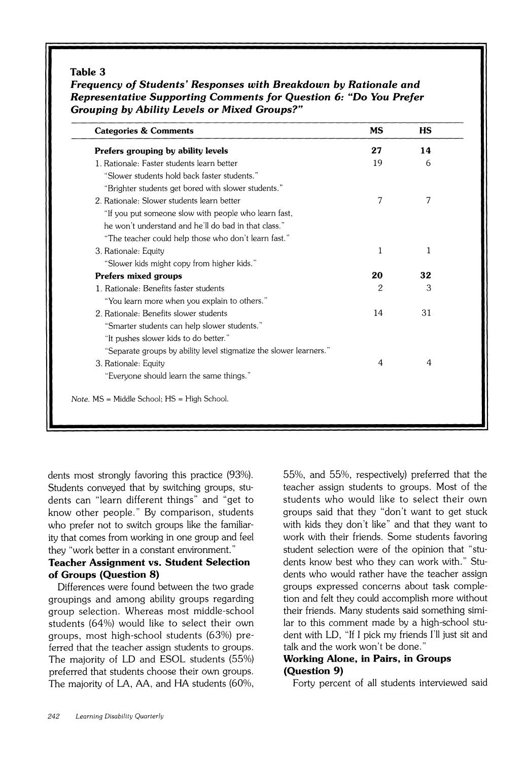### **Table 3**

### **Frequency of Students' Responses with Breakdown by Rationale and Representative Supporting Comments for Question** *6:* **"Do You Prefer Grouping by Ability Levels or Mixed Groups?"**

| <b>Categories &amp; Comments</b>                                   | <b>MS</b> | <b>HS</b> |
|--------------------------------------------------------------------|-----------|-----------|
| Prefers grouping by ability levels                                 | 27        | 14        |
| 1. Rationale: Faster students learn better                         | 19        | 6         |
| "Slower students hold back faster students."                       |           |           |
| "Brighter students get bored with slower students."                |           |           |
| 2. Rationale: Slower students learn better                         | 7         | 7         |
| "If you put someone slow with people who learn fast,               |           |           |
| he won't understand and he'll do bad in that class."               |           |           |
| "The teacher could help those who don't learn fast."               |           |           |
| 3. Rationale: Equity                                               | 1         | 1         |
| "Slower kids might copy from higher kids."                         |           |           |
| <b>Prefers mixed groups</b>                                        | 20        | 32        |
| 1. Rationale: Benefits faster students                             | 2         | 3         |
| "You learn more when you explain to others."                       |           |           |
| 2. Rationale: Benefits slower students                             | 14        | 31        |
| "Smarter students can help slower students."                       |           |           |
| "It pushes slower kids to do better."                              |           |           |
| "Separate groups by ability level stigmatize the slower learners." |           |           |
| 3. Rationale: Equity                                               | 4         | 4         |
| "Everyone should learn the same things."                           |           |           |

Students conveyed that by switching groups, stu- teacher assign students to groups. Most of the dents can "learn different things" and "get to students who would like to select their own know other people." By comparison, students groups said that they "don't want to get stuck who prefer not to switch groups like the familiar-<br>with kids they don't like" and that they want to ity that comes from working in one group and feel work with their friends. Some students favoring

Differences were found between the two grade groupings and among ability groups regarding tion and felt they could accomplish more without group selection. Whereas most middle-school their friends. Many students said something simistudents  $(64%)$  would like to select their own lar to this comment made by a high-school stugroups, most high-school students (63%) pre- dent with LD. "If I pick my friends I'll just sit and ferred that the teacher assign students to groups. talk and the work won't be done." The majority of LD and ESOL students (55%) **Working Alone, in Pairs, in Groups**  preferred that students choose their own groups. **(Question 9)**  The majority of LA. AA, and HA students (60%. Forty percent of all students interviewed said

dents most strongly favoring this practice (93%). 55%. and 55%, respectively) preferred that the they "work better in a constant environment." student selection were of the opinion that "stu-**Teacher Assignment vs. Student Selection** dents know best who they can work with." Stu**of Groups (Question 8) dents** who would rather have the teacher assign<br>Differences were found between the two grade aroups expressed concerns about task comple-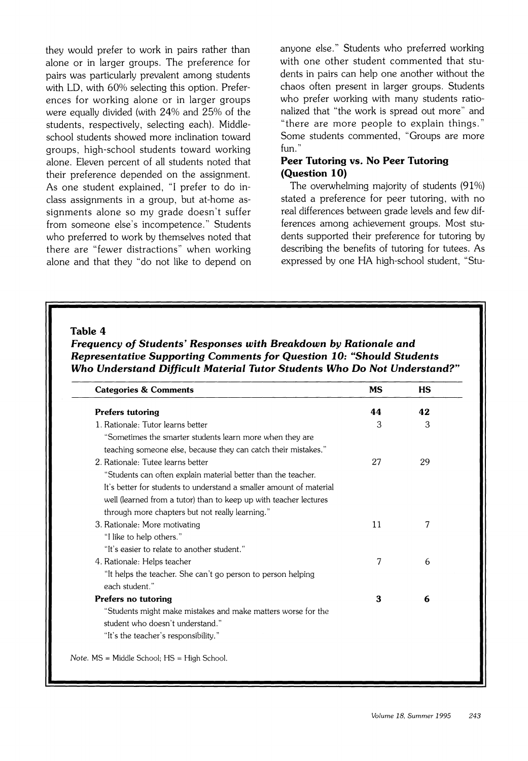alone or in larger groups. The preference for with one other student commented that stu-<br>pairs was particularly prevalent among students dents in pairs can help one another without the pairs was particularly prevalent among students latents in pairs can help one another without the with LD, with 60% selecting this option. Prefer-latendos often present in larger groups. Students with LD, with 60% selecting this option. Prefer-chaos often present in larger groups. Students<br>ences for working alone or in larger groups — who prefer working with many students ratioences for working alone or in larger groups who prefer working with many students ratio-<br>were equally divided (with 24% and 25% of the strainalized that "the work is spread out more" and were equally divided (with  $24\%$  and  $25\%$  of the students, respectively, selecting each). Middle- "there are more people to explain things." school students showed more inclination toward Some students commented, "Groups are more groups, high-school students toward working fun." alone. Eleven percent of all students noted that **Peer Tutoring vs. No Peer Tutoring**  their preference depended on the assignment. **(Question 10)**  As one student explained, "I prefer to do in-<br>
class assignments in a group, but at-home as-<br>
stated a preference for peer tutoring, with no class assignments in a group, but at-home assignments alone so my grade doesn't suffer real differences between grade levels and few diffrom someone else's incompetence." Students ferences among achievement groups. Most stuwho preferred to work by themselves noted that dents supported their preference for tutoring by there are "fewer distractions" when working describing the benefits of tutoring for tutees. As alone and that they "do not like to depend on expressed by one HA high-school student, "Stu-

they would prefer to work in pairs rather than anyone else." Students who preferred working<br>alone or in larger groups. The preference for a with one other student commented that stu-

### **Table 4**

**Frequency of Students' Responses with Breakdown by Rationale and Representative Supporting Comments for Question 10: "Should Students Who Understand Difficult Material Tutor Students Who Do Not Understand?"** 

| <b>Categories &amp; Comments</b>                                    | MS | <b>HS</b> |
|---------------------------------------------------------------------|----|-----------|
| <b>Prefers tutoring</b>                                             | 44 | 42        |
| 1. Rationale: Tutor learns better                                   | 3  | 3         |
| "Sometimes the smarter students learn more when they are            |    |           |
| teaching someone else, because they can catch their mistakes."      |    |           |
| 2. Rationale: Tutee learns better                                   | 27 | 29        |
| "Students can often explain material better than the teacher.       |    |           |
| It's better for students to understand a smaller amount of material |    |           |
| well (learned from a tutor) than to keep up with teacher lectures   |    |           |
| through more chapters but not really learning."                     |    |           |
| 3. Rationale: More motivating                                       | 11 | 7         |
| "I like to help others."                                            |    |           |
| "It's easier to relate to another student."                         |    |           |
| 4. Rationale: Helps teacher                                         | 7  | 6         |
| "It helps the teacher. She can't go person to person helping        |    |           |
| each student."                                                      |    |           |
| Prefers no tutoring                                                 | 3  | 6         |
| "Students might make mistakes and make matters worse for the        |    |           |
| student who doesn't understand."                                    |    |           |
| "It's the teacher's responsibility."                                |    |           |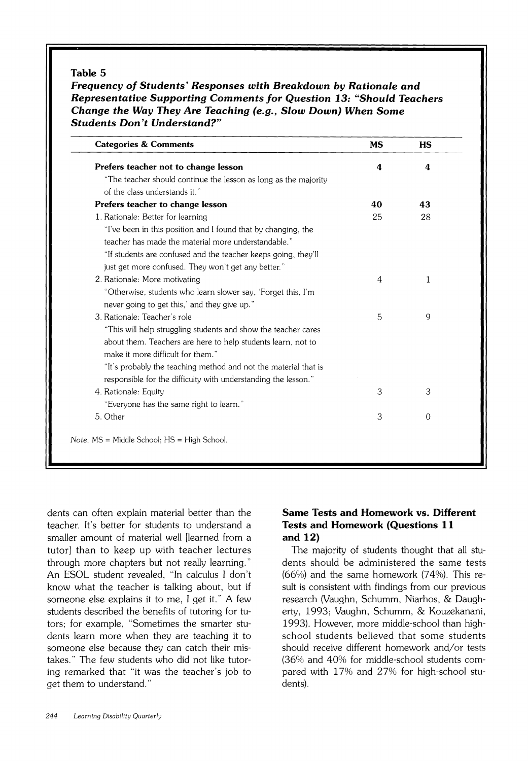### **Table 5**

## **Frequency of Students' Responses with Breakdown by Rationale and Representative Supporting Comments for Question 13: "Should Teachers Change the Way They Are Teaching (e.g., Slow Down) When Some Students Don't Understand?"**

| <b>Categories &amp; Comments</b>                                | MS             | HS       |
|-----------------------------------------------------------------|----------------|----------|
| Prefers teacher not to change lesson                            | 4              | 4        |
| "The teacher should continue the lesson as long as the majority |                |          |
| of the class understands it."                                   |                |          |
| Prefers teacher to change lesson                                | 40             | 43       |
| 1. Rationale: Better for learning                               | 25             | 28       |
| "I've been in this position and I found that by changing, the   |                |          |
| teacher has made the material more understandable."             |                |          |
| "If students are confused and the teacher keeps going, they'll  |                |          |
| just get more confused. They won't get any better."             |                |          |
| 2. Rationale: More motivating                                   | $\overline{4}$ | 1        |
| "Otherwise, students who learn slower say, 'Forget this, I'm    |                |          |
| never going to get this,' and they give up."                    |                |          |
| 3. Rationale: Teacher's role                                    | 5              | 9        |
| "This will help struggling students and show the teacher cares  |                |          |
| about them. Teachers are here to help students learn, not to    |                |          |
| make it more difficult for them."                               |                |          |
| "It's probably the teaching method and not the material that is |                |          |
| responsible for the difficulty with understanding the lesson."  |                |          |
| 4. Rationale: Equity                                            | 3              | 3        |
| "Everyone has the same right to learn."                         |                |          |
| 5. Other                                                        | 3              | $\Omega$ |

dents can often explain material better than the **Same Tests and Homework vs. Different**  teacher. It's better for students to understand a **Tests and Homework (Questions 11**  smaller amount of material well llearned from a **and 12)** tutor] than to keep up with teacher lectures The majority of students thought that all stuthrough more chapters but not really learning.' dents should be administered the same tests An ESOL student revealed, "In calculus I don't (66%) and the same homework (74%). This reknow what the teacher is talking about, but if sult is consistent with findings from our previous someone else explains it to me. I get it." A few research (Vaughn. Schumm. Niarhos. & Daughstudents described the benefits of tutoring for tu- erty. 1993: Vaughn. Schumm. & Kouzekanani. tors: for example. "Sometimes the smarter stu- 1993). However. more middle-school than highdents learn more when they are teaching it to school students believed that some students someone else because they can catch their mis- should receive different homework and/or tests takes." The few students who did not like tutor- (36% and 40% for middle-school students coming remarked that 'it was the teacher's job to pared with 17% and 27% for high-school stuget them to understand." The same state of them is dents).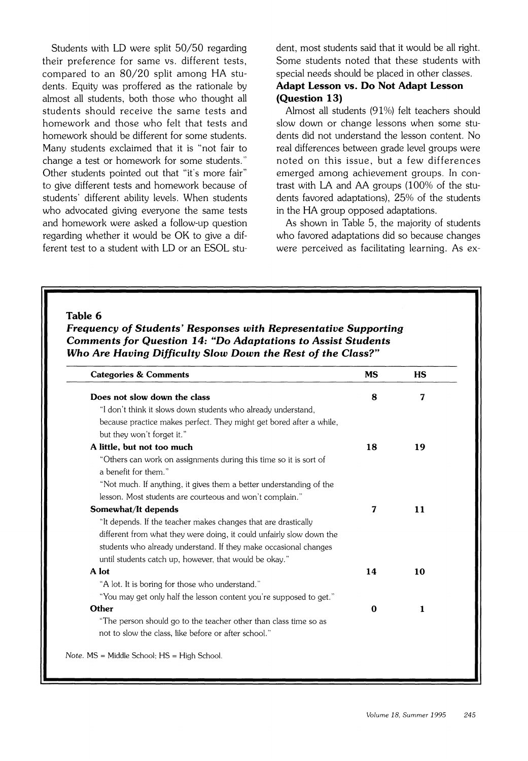their preference for same vs. different tests. Some students noted that these students with compared to an 80/20 split among HA stu- special needs should be placed in other classes. dents. Equity was proffered as the rationale by **Adapt Lesson vs. Do Not Adapt Lesson**  almost all students, both those who thought all **(Question 13)**  students should receive the same tests and Almost all students (91%) felt teachers should homework and those who felt that tests and slow down or change lessons when some stuhomework should be different for some students. dents did not understand the lesson content. No Many students exclaimed that it is "not fair to real differences between grade level groups were change a test or homework for some students." noted on this issue. but a few differences Other students pointed out that "it's more fair" emerged among achievement groups. In conto give different tests and homework because of trast with LA and AA groups (100% of the stustudents' different ability levels. When students dents favored adaptations). 25% of the students who advocated giving everyone the same tests in the HA group opposed adaptations. and homework were asked a follow-up question As shown in Table 5, the majority of students regarding whether it would be OK to give a dif- who favored adaptations did so because changes ferent test to a student with LD or an ESOL stu- were perceived as facilitating learning. As ex-

Students with LD were split 50/50 regarding dent, most students said that it would be all right.

### **Table 6**

**Frequency of Students' Responses with Representative Supporting Comments for Question 14: "Do Adaptations to Assist Students Who Are Having Difficulty Slow Down the Rest of the Class?"** 

| 8<br>18      | 7  |
|--------------|----|
|              |    |
|              |    |
|              |    |
|              |    |
|              | 19 |
|              |    |
|              |    |
|              |    |
| 7            | 11 |
|              |    |
|              |    |
|              |    |
|              | 10 |
|              |    |
|              |    |
| $\mathbf{0}$ | 1  |
|              |    |
|              |    |
|              | 14 |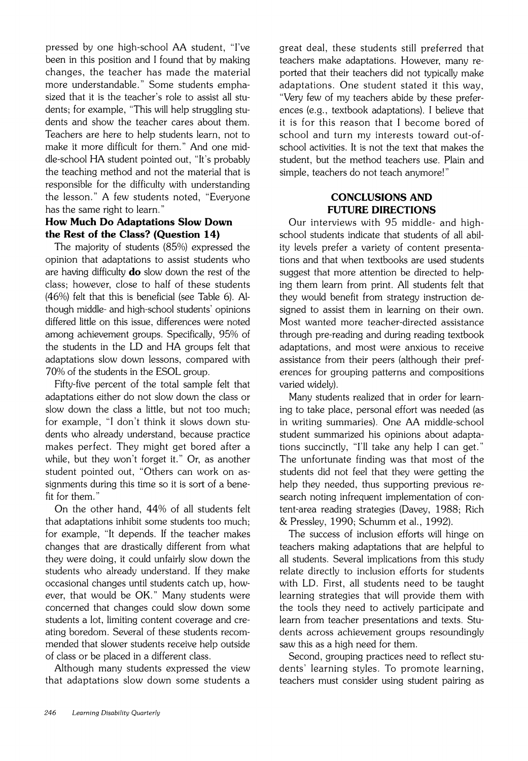pressed by one high-school AA student, "I've been in this position and I found that by making changes, the teacher has made the material more understandable." Some students emphasized that it is the teacher's role to assist all students; for example. "This will help struggling students and show the teacher cares about them. Teachers are here to help students learn, not to make it more difficult for them." And one middle-school HA student pointed out, "It's probably the teaching method and not the material that is responsible for the difficulty with understanding the lesson." A few students noted. "Everyone has the same right to learn."

# **How Much Do Adaptations Slow Down the Rest of the Class? (Question 14)**

The majority of students (85%) expressed the opinion that adaptations to assist students who are having difficulty **do** slow down the rest of the class; however, close to half of these students (46%) felt that this is beneficial (see Table 6). Although middle- and high-school students' opinions differed little on this issue, differences were noted among achievement groups. Specifically. 95% of the students in the LD and HA groups felt that adaptations slow down lessons, compared with 70% of the students in the ESOL group.

Fifty-five percent of the total sample felt that adaptations either do not slow down the class or slow down the class a little, but not too much: for example, "I don't think it slows down students who already understand, because practice makes perfect. They might get bored after a while, but they won't forget it." Or, as another student pointed out, "Others can work on assignments during this time so it is sort of a benefit for them."

On the other hand, 44% of all students felt that adaptations inhibit some students too much; for example, "It depends. If the teacher makes changes that are drastically different from what they were doing, it could unfairly slow down the students who already understand. If they make occasional changes until students catch up, however, that would be OK." Many students were concerned that changes could slow down some students a lot, limiting content coverage and creating boredom. Several of these students recommended that slower students receive help outside of class or be placed in a different class.

Although many students expressed the view that adaptations slow down some students a great deal, these students still preferred that teachers make adaptations. However, many reported that their teachers did not typically make adaptations. One student stated it this way, "Very few of my teachers abide by these preferences (e.g., textbook adaptations). I believe that it is for this reason that I become bored of school and turn my interests toward out-ofschool activities. It is not the text that makes the student, but the method teachers use. Plain and simple, teachers do not teach anymore!"

# **CONCLUSIONS AND FUTURE DIRECTIONS**

Our interviews with 95 middle- and highschool students indicate that students of all ability levels prefer a variety of content presentations and that when textbooks are used students suggest that more attention be directed to helping them learn from print. All students felt that they would benefit from strategy instruction designed to assist them in learning on their own. Most wanted more teacher-directed assistance through pre-reading and during reading textbook adaptations, and most were anxious to receive assistance from their peers (although their preferences for grouping patterns and compositions varied widely).

Many students realized that in order for learning to take place, personal effort was needed (as in writing summaries). One AA middle-school student summarized his opinions about adaptations succinctly. "I'll take any help I can get." The unfortunate finding was that most of the students did not feel that they were getting the help they needed, thus supporting previous research noting infrequent implementation of content-area reading strategies (Davey, 1988; Rich & Pressley, 1990; Schumm et al.. 1992).

The success of inclusion efforts will hinge on teachers making adaptations that are helpful to all students. Several implications from this study relate directly to inclusion efforts for students with LD. First, all students need to be taught learning strategies that will provide them with the tools they need to actively participate and learn from teacher presentations and texts. Students across achievement groups resoundingly saw this as a high need for them.

Second, grouping practices need to reflect students' learning styles. To promote learning, teachers must consider using student pairing as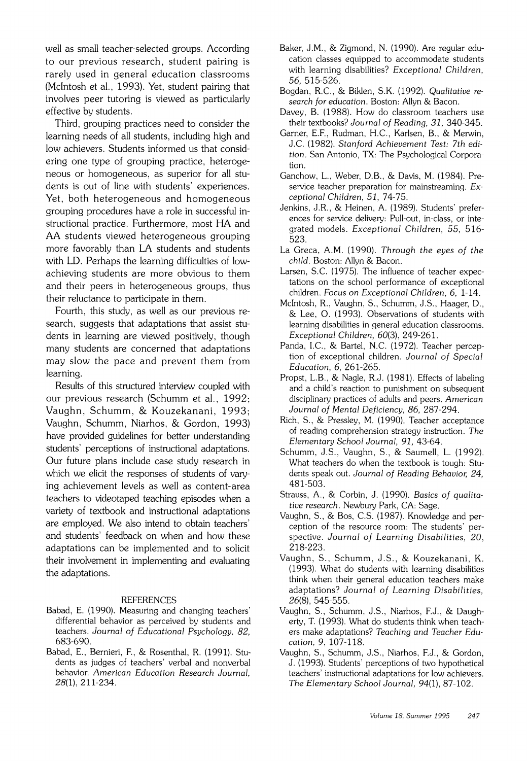well as small teacher-selected groups. According to our previous research. student pairing is rarely used in general education classrooms (McIntosh et al., 1993). Yet, student pairing that involves peer tutoring is viewed as particularly effective by students.

Third, grouping practices need to consider the learning needs of all students, including high and low achievers. Students informed us that considering one type of grouping practice, heterogeneous or homogeneous, as superior for all students is out of line with students' experiences. Yet, both heterogeneous and homogeneous grouping procedures have a role in successful instructional practice. Furthermore, most HA and AA students viewed heterogeneous grouping more favorably than LA students and students with LD. Perhaps the learning difficulties of lowachieving students are more obvious to them and their peers in heterogeneous groups, thus their reluctance to participate in them.

Fourth, this study, as well as our previous research, suggests that adaptations that assist students in learning are viewed positively, though many students are concerned that adaptations may slow the pace and prevent them from learning.

Results of this structured interview coupled with our previous research (Schumm et al.. 1992; Vaughn. Schumm. & Kouzekanani, 1993: Vaughn. Schumm. Niarhos. & Gordon. 1993) have provided guidelines for better understanding students' perceptions of instructional adaptations. Our future plans include case study research in which we elicit the responses of students of vaying achievement levels as well as content-area teachers to videotaped teaching episodes when a variety of textbook and instructional adaptations are employed. We also intend to obtain teachers' and students' feedback on when and how these adaptations can be implemented and to solicit their involvement in implementing and evaluating the adaptations.

### REFERENCES

- Babad. E. (1990). Measuring and changing teachers' differential behavior as perceived by students and teachers. Journal of Educational Psychology, 82, 683-690
- Babad. E., Bernieri. F.. & Rosenthal. R. (1991). Students as judges of teachers' verbal and nonverbal behavior. American Education Research Journal, 28(1).21 1-234.
- Baker, J.M.. & Zigmond, N. (1990). Are regular education classes equipped to accommodate students with learning disabilities? Exceptional Children, 56, 515-526.
- Bogdan. R.C., & Biklen. S.K. (1992). Qualitative research for education. Boston: Allyn & Bacon.
- Davey. B. (1988). How do classroom teachers use their textbooks? Journal of Reading, 31, 340-345.
- Garner. E.F., Rudman. H.C., Karlsen, B., & Merwin. J.C. (1982). Stanford Achievement Test: 7th edition. San Antonio. TX: The Psychological Corporation.
- Ganchow. L.. Weber, D.B., & Davis. M. (1984). Preservice teacher preparation for mainstreaming. Exceptional Children, 51, 74-75.
- Jenkins. J.R.. & Heinen. A. (1989). Students' preferences for service delivery: Pull-out, in-class, or integrated models. Exceptional Children. 55, 516- 523.
- La Greca, A.M. (1990). Through the eyes of the child. Boston: Allyn & Bacon.
- Larsen. S.C. (1975). The influence of teacher expectations on the school performance of exceptional children. Focus on Exceptional Children. 6, 1-14,
- McIntosh. R., Vaughn. S., Schumm. J.S.. Haager, D.. & Lee, 0. (1993). Observations of students with learning disabilities in general education classrooms. Exceptional Children, 60(3), 249-261.
- Panda. I.C., & Bartel, N.C. (1972). Teacher perception of exceptional children. Journal of Special Education, 6, 261-265.
- Propst. L.B.. & Nagle, R.J. (1981). Effects of labeling and a child's reaction to punishment on subsequent disciplinary practices of adults and peers. American Journal of Mental Deficiency, 86, 287-294.
- Rich, S.. & Pressley. M. (1990). Teacher acceptance of reading comprehension strategy instruction. The Elementary School Journal, 91. 43-64.
- Schumm. J.S.. Vaughn. S.. & Saumell. L. (1992). What teachers do when the textbook is tough: Students speak out. Journal of Reading Behavior, 24. 481-503.
- Strauss, A., & Corbin, J. (1990). Basics of qualitative research. Newbury Park. CA: Sage.
- Vaughn, S.. & Bos. C.S. (1987). Knowledge and perception of the resource room: The students' perspective. Journal of Learning Disabilities, 20, 218-223.
- Vaughn, S., Schumm, J.S., & Kouzekanani. K. (1993). What do students with learning disabilities think when their general education teachers make adaptations? Journal of Learning Disabilities. 26(8). 545-555.
- Vaughn. S., Schumm, J.S.. Niarhos. F.J., & Daugherty. T. (1993). What do students think when teachers make adaptations? Teaching and Teacher Education, 9, 107-118.
- Vaughn. S.. Schumm. J.S., Niarhos, F.J., & Gordon, J. (1993). Students' perceptions of two hypothetical teachers' instructional adaptations for low achievers. The Elementary School Journal. 94(1). 87-102.